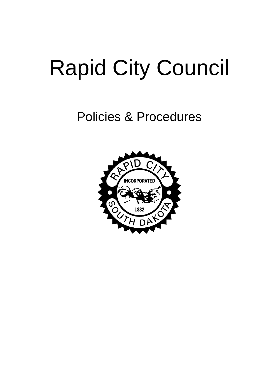# Rapid City Council

# Policies & Procedures

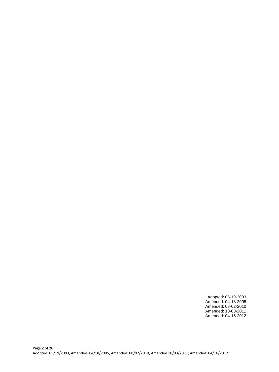Adopted: 05-19-2003 Amended: 04-18-2005 Amended: 08-02-2010 Amended: 10-03-2011 Amended: 04-16-2012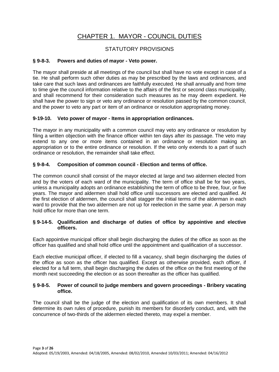# CHAPTER 1. MAYOR - COUNCIL DUTIES

#### STATUTORY PROVISIONS

#### **§ 9-8-3. Powers and duties of mayor - Veto power.**

The mayor shall preside at all meetings of the council but shall have no vote except in case of a tie. He shall perform such other duties as may be prescribed by the laws and ordinances, and take care that such laws and ordinances are faithfully executed. He shall annually and from time to time give the council information relative to the affairs of the first or second class municipality, and shall recommend for their consideration such measures as he may deem expedient. He shall have the power to sign or veto any ordinance or resolution passed by the common council, and the power to veto any part or item of an ordinance or resolution appropriating money.

#### **9-19-10. Veto power of mayor - Items in appropriation ordinances.**

The mayor in any municipality with a common council may veto any ordinance or resolution by filing a written objection with the finance officer within ten days after its passage. The veto may extend to any one or more items contained in an ordinance or resolution making an appropriation or to the entire ordinance or resolution. If the veto only extends to a part of such ordinance or resolution, the remainder shall take effect.

#### **§ 9-8-4. Composition of common council - Election and terms of office.**

The common council shall consist of the mayor elected at large and two aldermen elected from and by the voters of each ward of the municipality. The term of office shall be for two years, unless a municipality adopts an ordinance establishing the term of office to be three, four, or five years. The mayor and aldermen shall hold office until successors are elected and qualified. At the first election of aldermen, the council shall stagger the initial terms of the alderman in each ward to provide that the two aldermen are not up for reelection in the same year. A person may hold office for more than one term.

#### **§ 9-14-5. Qualification and discharge of duties of office by appointive and elective officers.**

Each appointive municipal officer shall begin discharging the duties of the office as soon as the officer has qualified and shall hold office until the appointment and qualification of a successor.

Each elective municipal officer, if elected to fill a vacancy, shall begin discharging the duties of the office as soon as the officer has qualified. Except as otherwise provided, each officer, if elected for a full term, shall begin discharging the duties of the office on the first meeting of the month next succeeding the election or as soon thereafter as the officer has qualified.

#### **§ 9-8-5. Power of council to judge members and govern proceedings - Bribery vacating office.**

The council shall be the judge of the election and qualification of its own members. It shall determine its own rules of procedure, punish its members for disorderly conduct, and, with the concurrence of two-thirds of the aldermen elected thereto, may expel a member.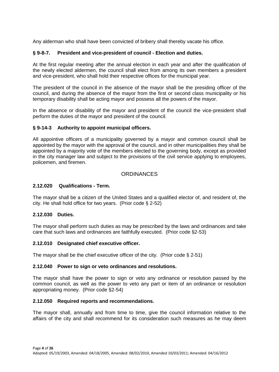Any alderman who shall have been convicted of bribery shall thereby vacate his office.

#### **§ 9-8-7. President and vice-president of council - Election and duties.**

At the first regular meeting after the annual election in each year and after the qualification of the newly elected aldermen, the council shall elect from among its own members a president and vice-president, who shall hold their respective offices for the municipal year.

The president of the council in the absence of the mayor shall be the presiding officer of the council, and during the absence of the mayor from the first or second class municipality or his temporary disability shall be acting mayor and possess all the powers of the mayor.

In the absence or disability of the mayor and president of the council the vice-president shall perform the duties of the mayor and president of the council.

#### **§ 9-14-3 Authority to appoint municipal officers.**

All appointive officers of a municipality governed by a mayor and common council shall be appointed by the mayor with the approval of the council, and in other municipalities they shall be appointed by a majority vote of the members elected to the governing body, except as provided in the city manager law and subject to the provisions of the civil service applying to employees, policemen, and firemen.

#### **ORDINANCES**

#### **2.12.020 Qualifications - Term.**

The mayor shall be a citizen of the United States and a qualified elector of, and resident of, the city. He shall hold office for two years. (Prior code § 2-52)

#### **2.12.030 Duties.**

The mayor shall perform such duties as may be prescribed by the laws and ordinances and take care that such laws and ordinances are faithfully executed. (Prior code §2-53)

#### **2.12.010 Designated chief executive officer.**

The mayor shall be the chief executive officer of the city. (Prior code § 2-51)

#### **2.12.040 Power to sign or veto ordinances and resolutions.**

The mayor shall have the power to sign or veto any ordinance or resolution passed by the common council, as well as the power to veto any part or item of an ordinance or resolution appropriating money. (Prior code §2-54)

#### **2.12.050 Required reports and recommendations.**

The mayor shall, annually and from time to time, give the council information relative to the affairs of the city and shall recommend for its consideration such measures as he may deem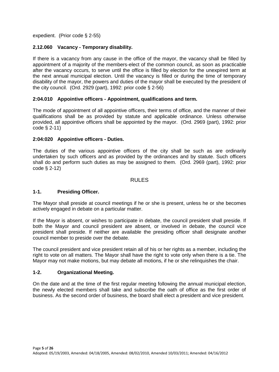expedient. (Prior code § 2-55)

#### **2.12.060 Vacancy - Temporary disability.**

If there is a vacancy from any cause in the office of the mayor, the vacancy shall be filled by appointment of a majority of the members-elect of the common council, as soon as practicable after the vacancy occurs, to serve until the office is filled by election for the unexpired term at the next annual municipal election. Until the vacancy is filled or during the time of temporary disability of the mayor, the powers and duties of the mayor shall be executed by the president of the city council. (Ord. 2929 (part), 1992: prior code  $\S$  2-56)

#### **2:04.010 Appointive officers - Appointment, qualifications and term.**

The mode of appointment of all appointive officers, their terms of office, and the manner of their qualifications shall be as provided by statute and applicable ordinance. Unless otherwise provided, all appointive officers shall be appointed by the mayor. (Ord. 2969 (part), 1992: prior code § 2-11)

#### **2:04:020 Appointive officers - Duties.**

The duties of the various appointive officers of the city shall be such as are ordinarily undertaken by such officers and as provided by the ordinances and by statute. Such officers shall do and perform such duties as may be assigned to them. (Ord. 2969 (part), 1992: prior code § 2-12)

#### RULES

#### **1-1. Presiding Officer.**

The Mayor shall preside at council meetings if he or she is present, unless he or she becomes actively engaged in debate on a particular matter.

If the Mayor is absent, or wishes to participate in debate, the council president shall preside. If both the Mayor and council president are absent, or involved in debate, the council vice president shall preside. If neither are available the presiding officer shall designate another council member to preside over the debate.

The council president and vice president retain all of his or her rights as a member, including the right to vote on all matters. The Mayor shall have the right to vote only when there is a tie. The Mayor may not make motions, but may debate all motions, if he or she relinquishes the chair.

#### **1-2. Organizational Meeting.**

On the date and at the time of the first regular meeting following the annual municipal election, the newly elected members shall take and subscribe the oath of office as the first order of business. As the second order of business, the board shall elect a president and vice president.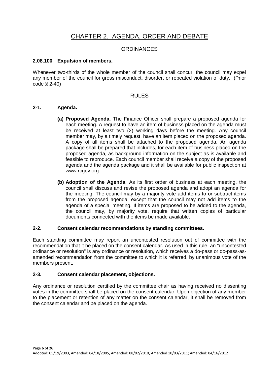# CHAPTER 2. AGENDA, ORDER AND DEBATE

#### **ORDINANCES**

#### **2.08.100 Expulsion of members.**

Whenever two-thirds of the whole member of the council shall concur, the council may expel any member of the council for gross misconduct, disorder, or repeated violation of duty. (Prior code § 2-40)

#### RULES

#### **2-1. Agenda.**

- **(a) Proposed Agenda.** The Finance Officer shall prepare a proposed agenda for each meeting. A request to have an item of business placed on the agenda must be received at least two (2) working days before the meeting. Any council member may, by a timely request, have an item placed on the proposed agenda. A copy of all items shall be attached to the proposed agenda. An agenda package shall be prepared that includes, for each item of business placed on the proposed agenda, as background information on the subject as is available and feasible to reproduce. Each council member shall receive a copy of the proposed agenda and the agenda package and it shall be available for public inspection at www.rcgov.org.
- **(b) Adoption of the Agenda.** As its first order of business at each meeting, the council shall discuss and revise the proposed agenda and adopt an agenda for the meeting. The council may by a majority vote add items to or subtract items from the proposed agenda, except that the council may not add items to the agenda of a special meeting. If items are proposed to be added to the agenda, the council may, by majority vote, require that written copies of particular documents connected with the items be made available.

#### **2-2. Consent calendar recommendations by standing committees.**

Each standing committee may report an uncontested resolution out of committee with the recommendation that it be placed on the consent calendar. As used in this rule, an "uncontested ordinance or resolution" is any ordinance or resolution, which receives a do-pass or do-pass-asamended recommendation from the committee to which it is referred, by unanimous vote of the members present.

#### **2-3. Consent calendar placement, objections.**

Any ordinance or resolution certified by the committee chair as having received no dissenting votes in the committee shall be placed on the consent calendar. Upon objection of any member to the placement or retention of any matter on the consent calendar, it shall be removed from the consent calendar and be placed on the agenda.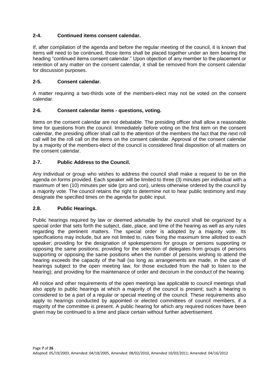#### **2-4. Continued items consent calendar.**

If, after compilation of the agenda and before the regular meeting of the council, it is known that items will need to be continued, those items shall be placed together under an item bearing the heading "continued items consent calendar." Upon objection of any member to the placement or retention of any matter on the consent calendar, it shall be removed from the consent calendar for discussion purposes.

#### **2-5. Consent calendar.**

A matter requiring a two-thirds vote of the members-elect may not be voted on the consent calendar.

#### **2-6. Consent calendar items - questions, voting.**

Items on the consent calendar are not debatable. The presiding officer shall allow a reasonable time for questions from the council. Immediately before voting on the first item on the consent calendar, the presiding officer shall call to the attention of the members the fact that the next roll call will be the roll call on the items on the consent calendar. Approval of the consent calendar by a majority of the members-elect of the council is considered final disposition of all matters on the consent calendar.

#### **2-7. Public Address to the Council.**

Any individual or group who wishes to address the council shall make a request to be on the agenda on forms provided. Each speaker will be limited to three (3) minutes per individual with a maximum of ten (10) minutes per side (pro and con), unless otherwise ordered by the council by a majority vote. The council retains the right to determine not to hear public testimony and may designate the specified times on the agenda for public input.

#### **2.8. Public Hearings.**

Public hearings required by law or deemed advisable by the council shall be organized by a special order that sets forth the subject, date, place, and time of the hearing as well as any rules regarding the pertinent matters. The special order is adopted by a majority vote. Its specifications may include, but are not limited to, rules fixing the maximum time allotted to each speaker; providing for the designation of spokespersons for groups or persons supporting or opposing the same positions; providing for the selection of delegates from groups of persons supporting or opposing the same positions when the number of persons wishing to attend the hearing exceeds the capacity of the hall (so long as arrangements are made, in the case of hearings subject to the open meeting law, for those excluded from the hall to listen to the hearing); and providing for the maintenance of order and decorum in the conduct of the hearing.

All notice and other requirements of the open meetings law applicable to council meetings shall also apply to public hearings at which a majority of the council is present; such a hearing is considered to be a part of a regular or special meeting of the council. These requirements also apply to hearings conducted by appointed or elected committees of council members, if a majority of the committee is present. A public hearing for which any required notices have been given may be continued to a time and place certain without further advertisement.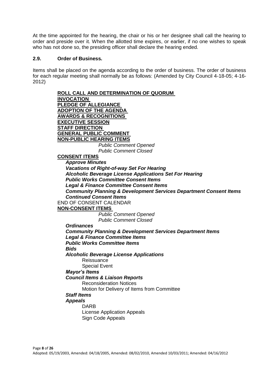At the time appointed for the hearing, the chair or his or her designee shall call the hearing to order and preside over it. When the allotted time expires, or earlier, if no one wishes to speak who has not done so, the presiding officer shall declare the hearing ended.

#### **2.9. Order of Business.**

Items shall be placed on the agenda according to the order of business. The order of business for each regular meeting shall normally be as follows: (Amended by City Council 4-18-05; 4-16- 2012)

> **ROLL CALL AND DETERMINATION OF QUORUM INVOCATION PLEDGE OF ALLEGIANCE ADOPTION OF THE AGENDA AWARDS & RECOGNITIONS EXECUTIVE SESSION STAFF DIRECTION GENERAL PUBLIC COMMENT NON-PUBLIC HEARING ITEMS** *Public Comment Opened Public Comment Closed*  **CONSENT ITEMS** *Approve Minutes Vacations of Right-of-way Set For Hearing Alcoholic Beverage License Applications Set For Hearing Public Works Committee Consent Items Legal & Finance Committee Consent Items Community Planning & Development Services Department Consent Items Continued Consent Items*  END OF CONSENT CALENDAR **NON-CONSENT ITEMS**  *Public Comment Opened Public Comment Closed Ordinances Community Planning & Development Services Department Items Legal & Finance Committee Items Public Works Committee Items Bids Alcoholic Beverage License Applications*  Reissuance Special Event *Mayor's Items Council Items & Liaison Reports*  Reconsideration Notices Motion for Delivery of Items from Committee *Staff Items Appeals*  DARB License Application Appeals Sign Code Appeals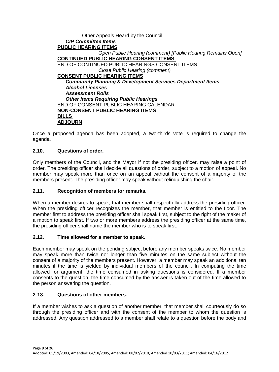#### Other Appeals Heard by the Council *CIP Committee Items* **PUBLIC HEARING ITEMS** *Open Public Hearing (comment) [Public Hearing Remains Open]*  **CONTINUED PUBLIC HEARING CONSENT ITEMS**  END OF CONTINUED PUBLIC HEARINGS CONSENT ITEMS *Close Public Hearing (comment)*  **CONSENT PUBLIC HEARING ITEMS** *Community Planning & Development Services Department Items Alcohol Licenses Assessment Rolls Other Items Requiring Public Hearings*  END OF CONSENT PUBLIC HEARING CALENDAR **NON-CONSENT PUBLIC HEARING ITEMS BILLS ADJOURN**

Once a proposed agenda has been adopted, a two-thirds vote is required to change the agenda.

#### **2.10. Questions of order.**

Only members of the Council, and the Mayor if not the presiding officer, may raise a point of order. The presiding officer shall decide all questions of order, subject to a motion of appeal. No member may speak more than once on an appeal without the consent of a majority of the members present. The presiding officer may speak without relinquishing the chair.

#### **2.11. Recognition of members for remarks.**

When a member desires to speak, that member shall respectfully address the presiding officer. When the presiding officer recognizes the member, that member is entitled to the floor. The member first to address the presiding officer shall speak first, subject to the right of the maker of a motion to speak first. If two or more members address the presiding officer at the same time, the presiding officer shall name the member who is to speak first.

#### **2.12. Time allowed for a member to speak.**

Each member may speak on the pending subject before any member speaks twice. No member may speak more than twice nor longer than five minutes on the same subject without the consent of a majority of the members present. However, a member may speak an additional ten minutes if the time is yielded by individual members of the council. In computing the time allowed for argument, the time consumed in asking questions is considered. If a member consents to the question, the time consumed by the answer is taken out of the time allowed to the person answering the question.

#### **2-13. Questions of other members.**

If a member wishes to ask a question of another member, that member shall courteously do so through the presiding officer and with the consent of the member to whom the question is addressed. Any question addressed to a member shall relate to a question before the body and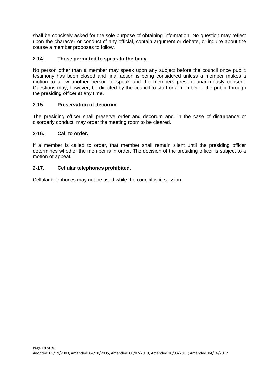shall be concisely asked for the sole purpose of obtaining information. No question may reflect upon the character or conduct of any official, contain argument or debate, or inquire about the course a member proposes to follow.

#### **2-14. Those permitted to speak to the body.**

No person other than a member may speak upon any subject before the council once public testimony has been closed and final action is being considered unless a member makes a motion to allow another person to speak and the members present unanimously consent. Questions may, however, be directed by the council to staff or a member of the public through the presiding officer at any time.

#### **2-15. Preservation of decorum.**

The presiding officer shall preserve order and decorum and, in the case of disturbance or disorderly conduct, may order the meeting room to be cleared.

#### **2-16. Call to order.**

If a member is called to order, that member shall remain silent until the presiding officer determines whether the member is in order. The decision of the presiding officer is subject to a motion of appeal.

#### **2-17. Cellular telephones prohibited.**

Cellular telephones may not be used while the council is in session.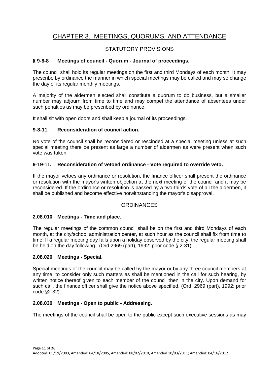# CHAPTER 3. MEETINGS, QUORUMS, AND ATTENDANCE

#### STATUTORY PROVISIONS

#### **§ 9-8-8 Meetings of council - Quorum - Journal of proceedings.**

The council shall hold its regular meetings on the first and third Mondays of each month. It may prescribe by ordinance the manner in which special meetings may be called and may so change the day of its regular monthly meetings.

A majority of the aldermen elected shall constitute a quorum to do business, but a smaller number may adjourn from time to time and may compel the attendance of absentees under such penalties as may be prescribed by ordinance.

It shall sit with open doors and shall keep a journal of its proceedings.

#### **9-8-11. Reconsideration of council action.**

No vote of the council shall be reconsidered or rescinded at a special meeting unless at such special meeting there be present as large a number of aldermen as were present when such vote was taken.

#### **9-19-11. Reconsideration of vetoed ordinance - Vote required to override veto.**

If the mayor vetoes any ordinance or resolution, the finance officer shall present the ordinance or resolution with the mayor's written objection at the next meeting of the council and it may be reconsidered. If the ordinance or resolution is passed by a two-thirds vote of all the aldermen, it shall be published and become effective notwithstanding the mayor's disapproval.

#### **ORDINANCES**

#### **2.08.010 Meetings - Time and place.**

The regular meetings of the common council shall be on the first and third Mondays of each month, at the city/school administration center, at such hour as the council shall fix from time to time. If a regular meeting day falls upon a holiday observed by the city, the regular meeting shall be held on the day following. (Ord 2969 (part), 1992: prior code § 2-31)

#### **2.08.020 Meetings - Special.**

Special meetings of the council may be called by the mayor or by any three council members at any time, to consider only such matters as shall be mentioned in the call for such hearing, by written notice thereof given to each member of the council then in the city. Upon demand for such call, the finance officer shall give the notice above specified. (Ord. 2969 (part), 1992: prior code §2-32)

#### **2.08.030 Meetings - Open to public - Addressing.**

The meetings of the council shall be open to the public except such executive sessions as may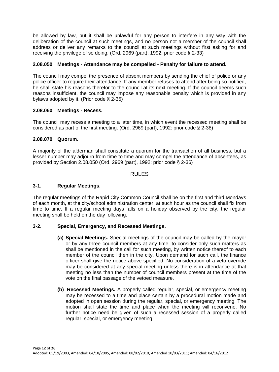be allowed by law, but it shall be unlawful for any person to interfere in any way with the deliberation of the council at such meetings, and no person not a member of the council shall address or deliver any remarks to the council at such meetings without first asking for and receiving the privilege of so doing. (Ord. 2969 (part), 1992: prior code § 2-33)

#### **2.08.050 Meetings - Attendance may be compelled - Penalty for failure to attend.**

The council may compel the presence of absent members by sending the chief of police or any police officer to require their attendance. If any member refuses to attend after being so notified, he shall state his reasons therefor to the council at its next meeting. If the council deems such reasons insufficient, the council may impose any reasonable penalty which is provided in any bylaws adopted by it. (Prior code § 2-35)

#### **2.08.060 Meetings - Recess.**

The council may recess a meeting to a later time, in which event the recessed meeting shall be considered as part of the first meeting. (Ord. 2969 (part), 1992: prior code § 2-38)

#### **2.08.070 Quorum.**

A majority of the alderman shall constitute a quorum for the transaction of all business, but a lesser number may adjourn from time to time and may compel the attendance of absentees, as provided by Section 2.08.050 (Ord. 2969 (part), 1992: prior code § 2-36)

#### RULES

#### **3-1. Regular Meetings.**

The regular meetings of the Rapid City Common Council shall be on the first and third Mondays of each month, at the city/school administration center, at such hour as the council shall fix from time to time. If a regular meeting days falls on a holiday observed by the city, the regular meeting shall be held on the day following.

#### **3-2. Special, Emergency, and Recessed Meetings.**

- **(a) Special Meetings.** Special meetings of the council may be called by the mayor or by any three council members at any time, to consider only such matters as shall be mentioned in the call for such meeting, by written notice thereof to each member of the council then in the city. Upon demand for such call, the finance officer shall give the notice above specified. No consideration of a veto override may be considered at any special meeting unless there is in attendance at that meeting no less than the number of council members present at the time of the vote on the final passage of the vetoed measure.
- **(b) Recessed Meetings.** A properly called regular, special, or emergency meeting may be recessed to a time and place certain by a procedural motion made and adopted in open session during the regular, special, or emergency meeting. The motion shall state the time and place when the meeting will reconvene. No further notice need be given of such a recessed session of a properly called regular, special, or emergency meeting.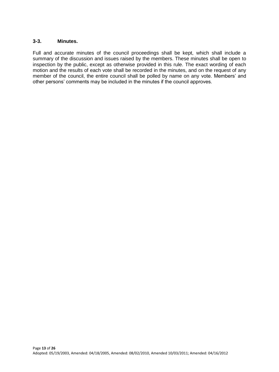#### **3-3. Minutes.**

Full and accurate minutes of the council proceedings shall be kept, which shall include a summary of the discussion and issues raised by the members. These minutes shall be open to inspection by the public, except as otherwise provided in this rule. The exact wording of each motion and the results of each vote shall be recorded in the minutes, and on the request of any member of the council, the entire council shall be polled by name on any vote. Members' and other persons' comments may be included in the minutes if the council approves.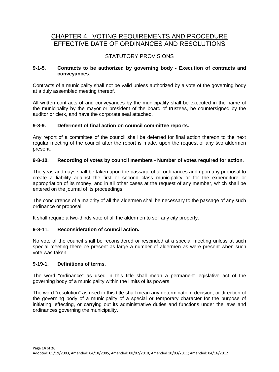### CHAPTER 4. VOTING REQUIREMENTS AND PROCEDURE EFFECTIVE DATE OF ORDINANCES AND RESOLUTIONS

#### STATUTORY PROVISIONS

#### **9-1-5. Contracts to be authorized by governing body - Execution of contracts and conveyances.**

Contracts of a municipality shall not be valid unless authorized by a vote of the governing body at a duly assembled meeting thereof.

All written contracts of and conveyances by the municipality shall be executed in the name of the municipality by the mayor or president of the board of trustees, be countersigned by the auditor or clerk, and have the corporate seal attached.

#### **9-8-9. Deferment of final action on council committee reports.**

Any report of a committee of the council shall be deferred for final action thereon to the next regular meeting of the council after the report is made, upon the request of any two aldermen present.

#### **9-8-10. Recording of votes by council members - Number of votes required for action.**

The yeas and nays shall be taken upon the passage of all ordinances and upon any proposal to create a liability against the first or second class municipality or for the expenditure or appropriation of its money, and in all other cases at the request of any member, which shall be entered on the journal of its proceedings.

The concurrence of a majority of all the aldermen shall be necessary to the passage of any such ordinance or proposal.

It shall require a two-thirds vote of all the aldermen to sell any city property.

#### **9-8-11. Reconsideration of council action.**

No vote of the council shall be reconsidered or rescinded at a special meeting unless at such special meeting there be present as large a number of aldermen as were present when such vote was taken.

#### **9-19-1. Definitions of terms.**

The word "ordinance" as used in this title shall mean a permanent legislative act of the governing body of a municipality within the limits of its powers.

The word "resolution" as used in this title shall mean any determination, decision, or direction of the governing body of a municipality of a special or temporary character for the purpose of initiating, effecting, or carrying out its administrative duties and functions under the laws and ordinances governing the municipality.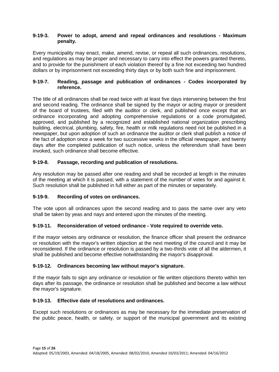#### **9-19-3. Power to adopt, amend and repeal ordinances and resolutions - Maximum penalty.**

Every municipality may enact, make, amend, revise, or repeal all such ordinances, resolutions, and regulations as may be proper and necessary to carry into effect the powers granted thereto, and to provide for the punishment of each violation thereof by a fine not exceeding two hundred dollars or by imprisonment not exceeding thirty days or by both such fine and imprisonment.

#### **9-19-7. Reading, passage and publication of ordinances - Codes incorporated by reference.**

The title of all ordinances shall be read twice with at least five days intervening between the first and second reading. The ordinance shall be signed by the mayor or acting mayor or president of the board of trustees, filed with the auditor or clerk, and published once except that an ordinance incorporating and adopting comprehensive regulations or a code promulgated, approved, and published by a recognized and established national organization prescribing building, electrical, plumbing, safety, fire, health or milk regulations need not be published in a newspaper, but upon adoption of such an ordinance the auditor or clerk shall publish a notice of the fact of adoption once a week for two successive weeks in the official newspaper, and twenty days after the completed publication of such notice, unless the referendum shall have been invoked, such ordinance shall become effective.

#### **9-19-8. Passage, recording and publication of resolutions.**

Any resolution may be passed after one reading and shall be recorded at length in the minutes of the meeting at which it is passed, with a statement of the number of votes for and against it. Such resolution shall be published in full either as part of the minutes or separately.

#### **9-19-9. Recording of votes on ordinances.**

The vote upon all ordinances upon the second reading and to pass the same over any veto shall be taken by yeas and nays and entered upon the minutes of the meeting.

#### **9-19-11. Reconsideration of vetoed ordinance - Vote required to override veto.**

If the mayor vetoes any ordinance or resolution, the finance officer shall present the ordinance or resolution with the mayor's written objection at the next meeting of the council and it may be reconsidered. If the ordinance or resolution is passed by a two-thirds vote of all the aldermen, it shall be published and become effective notwithstanding the mayor's disapproval.

#### **9-19-12. Ordinances becoming law without mayor's signature.**

If the mayor fails to sign any ordinance or resolution or file written objections thereto within ten days after its passage, the ordinance or resolution shall be published and become a law without the mayor's signature.

#### **9-19-13. Effective date of resolutions and ordinances.**

Except such resolutions or ordinances as may be necessary for the immediate preservation of the public peace, health, or safety, or support of the municipal government and its existing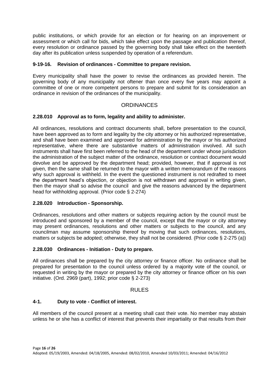public institutions, or which provide for an election or for hearing on an improvement or assessment or which call for bids, which take effect upon the passage and publication thereof, every resolution or ordinance passed by the governing body shall take effect on the twentieth day after its publication unless suspended by operation of a referendum.

#### **9-19-16. Revision of ordinances - Committee to prepare revision.**

Every municipality shall have the power to revise the ordinances as provided herein. The governing body of any municipality not oftener than once every five years may appoint a committee of one or more competent persons to prepare and submit for its consideration an ordinance in revision of the ordinances of the municipality.

#### **ORDINANCES**

#### **2.28.010 Approval as to form, legality and ability to administer.**

All ordinances, resolutions and contract documents shall, before presentation to the council, have been approved as to form and legality by the city attorney or his authorized representative, and shall have been examined and approved for administration by the mayor or his authorized representative, where there are substantive matters of administration involved. All such instruments shall have first been referred to the head of the department under whose jurisdiction the administration of the subject matter of the ordinance, resolution or contract document would devolve and be approved by the department head; provided, however, that if approval is not given, then the same shall be returned to the mayor with a written memorandum of the reasons why such approval is withheld. In the event the questioned instrument is not redrafted to meet the department head's objection, or objection is not withdrawn and approval in writing given, then the mayor shall so advise the council and give the reasons advanced by the department head for withholding approval. (Prior code § 2-274)

#### **2.28.020 Introduction - Sponsorship.**

Ordinances, resolutions and other matters or subjects requiring action by the council must be introduced and sponsored by a member of the council, except that the mayor or city attorney may present ordinances, resolutions and other matters or subjects to the council, and any councilman may assume sponsorship thereof by moving that such ordinances, resolutions, matters or subjects be adopted; otherwise, they shall not be considered. (Prior code § 2-275 (a))

#### **2.28.030 Ordinances - Initiation - Duty to prepare.**

All ordinances shall be prepared by the city attorney or finance officer. No ordinance shall be prepared for presentation to the council unless ordered by a majority vote of the council, or requested in writing by the mayor or prepared by the city attorney or finance officer on his own initiative. (Ord. 2969 (part), 1992; prior code § 2-273)

#### RULES

#### **4-1. Duty to vote - Conflict of interest.**

All members of the council present at a meeting shall cast their vote. No member may abstain unless he or she has a conflict of interest that prevents their impartiality or that results from their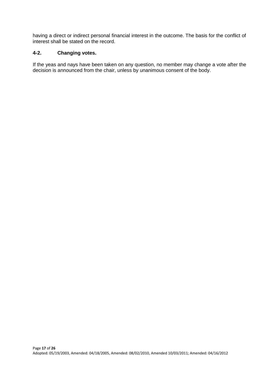having a direct or indirect personal financial interest in the outcome. The basis for the conflict of interest shall be stated on the record.

#### **4-2. Changing votes.**

If the yeas and nays have been taken on any question, no member may change a vote after the decision is announced from the chair, unless by unanimous consent of the body.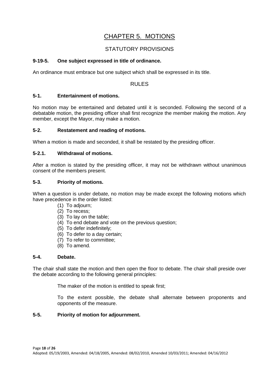## CHAPTER 5. MOTIONS

#### STATUTORY PROVISIONS

#### **9-19-5. One subject expressed in title of ordinance.**

An ordinance must embrace but one subject which shall be expressed in its title.

#### RULES

#### **5-1. Entertainment of motions.**

No motion may be entertained and debated until it is seconded. Following the second of a debatable motion, the presiding officer shall first recognize the member making the motion. Any member, except the Mayor, may make a motion.

#### **5-2. Restatement and reading of motions.**

When a motion is made and seconded, it shall be restated by the presiding officer.

#### **5-2.1. Withdrawal of motions.**

After a motion is stated by the presiding officer, it may not be withdrawn without unanimous consent of the members present.

#### **5-3. Priority of motions.**

When a question is under debate, no motion may be made except the following motions which have precedence in the order listed:

- (1) To adjourn;
- (2) To recess;
- (3) To lay on the table;
- (4) To end debate and vote on the previous question;
- (5) To defer indefinitely;
- (6) To defer to a day certain;
- (7) To refer to committee;
- (8) To amend.

#### **5-4. Debate.**

The chair shall state the motion and then open the floor to debate. The chair shall preside over the debate according to the following general principles:

The maker of the motion is entitled to speak first;

To the extent possible, the debate shall alternate between proponents and opponents of the measure.

#### **5-5. Priority of motion for adjournment.**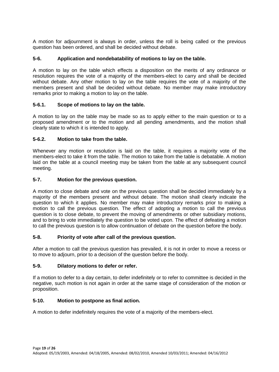A motion for adjournment is always in order, unless the roll is being called or the previous question has been ordered, and shall be decided without debate.

#### **5-6. Application and nondebatability of motions to lay on the table.**

A motion to lay on the table which effects a disposition on the merits of any ordinance or resolution requires the vote of a majority of the members-elect to carry and shall be decided without debate. Any other motion to lay on the table requires the vote of a majority of the members present and shall be decided without debate. No member may make introductory remarks prior to making a motion to lay on the table.

#### **5-6.1. Scope of motions to lay on the table.**

A motion to lay on the table may be made so as to apply either to the main question or to a proposed amendment or to the motion and all pending amendments, and the motion shall clearly state to which it is intended to apply.

#### **5-6.2. Motion to take from the table.**

Whenever any motion or resolution is laid on the table, it requires a majority vote of the members-elect to take it from the table. The motion to take from the table is debatable. A motion laid on the table at a council meeting may be taken from the table at any subsequent council meeting.

#### **5-7. Motion for the previous question.**

A motion to close debate and vote on the previous question shall be decided immediately by a majority of the members present and without debate. The motion shall clearly indicate the question to which it applies. No member may make introductory remarks prior to making a motion to call the previous question. The effect of adopting a motion to call the previous question is to close debate, to prevent the moving of amendments or other subsidiary motions, and to bring to vote immediately the question to be voted upon. The effect of defeating a motion to call the previous question is to allow continuation of debate on the question before the body.

#### **5-8. Priority of vote after call of the previous question.**

After a motion to call the previous question has prevailed, it is not in order to move a recess or to move to adjourn, prior to a decision of the question before the body.

#### **5-9. Dilatory motions to defer or refer.**

If a motion to defer to a day certain, to defer indefinitely or to refer to committee is decided in the negative, such motion is not again in order at the same stage of consideration of the motion or proposition.

#### **5-10. Motion to postpone as final action.**

A motion to defer indefinitely requires the vote of a majority of the members-elect.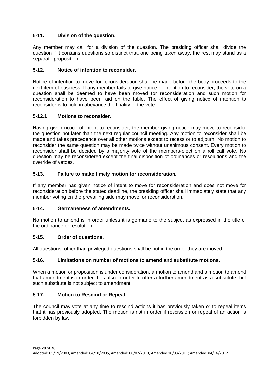#### **5-11. Division of the question.**

Any member may call for a division of the question. The presiding officer shall divide the question if it contains questions so distinct that, one being taken away, the rest may stand as a separate proposition.

#### **5-12. Notice of intention to reconsider.**

Notice of intention to move for reconsideration shall be made before the body proceeds to the next item of business. If any member fails to give notice of intention to reconsider, the vote on a question shall be deemed to have been moved for reconsideration and such motion for reconsideration to have been laid on the table. The effect of giving notice of intention to reconsider is to hold in abeyance the finality of the vote.

#### **5-12.1 Motions to reconsider.**

Having given notice of intent to reconsider, the member giving notice may move to reconsider the question not later than the next regular council meeting. Any motion to reconsider shall be made and takes precedence over all other motions except to recess or to adjourn. No motion to reconsider the same question may be made twice without unanimous consent. Every motion to reconsider shall be decided by a majority vote of the members-elect on a roll call vote. No question may be reconsidered except the final disposition of ordinances or resolutions and the override of vetoes.

#### **5-13. Failure to make timely motion for reconsideration.**

If any member has given notice of intent to move for reconsideration and does not move for reconsideration before the stated deadline, the presiding officer shall immediately state that any member voting on the prevailing side may move for reconsideration.

#### **5-14. Germaneness of amendments.**

No motion to amend is in order unless it is germane to the subject as expressed in the title of the ordinance or resolution.

#### **5-15. Order of questions.**

All questions, other than privileged questions shall be put in the order they are moved.

#### **5-16. Limitations on number of motions to amend and substitute motions.**

When a motion or proposition is under consideration, a motion to amend and a motion to amend that amendment is in order. It is also in order to offer a further amendment as a substitute, but such substitute is not subject to amendment.

#### **5-17. Motion to Rescind or Repeal.**

The council may vote at any time to rescind actions it has previously taken or to repeal items that it has previously adopted. The motion is not in order if rescission or repeal of an action is forbidden by law.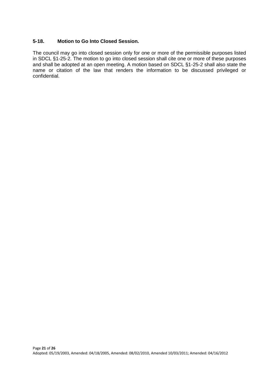#### **5-18. Motion to Go Into Closed Session.**

The council may go into closed session only for one or more of the permissible purposes listed in SDCL §1-25-2. The motion to go into closed session shall cite one or more of these purposes and shall be adopted at an open meeting. A motion based on SDCL §1-25-2 shall also state the name or citation of the law that renders the information to be discussed privileged or confidential.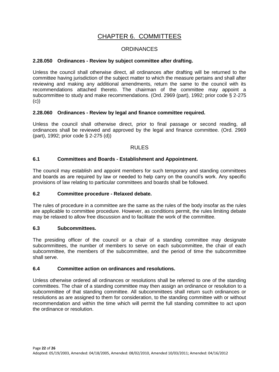# CHAPTER 6. COMMITTEES

#### **ORDINANCES**

#### **2.28.050 Ordinances - Review by subject committee after drafting.**

Unless the council shall otherwise direct, all ordinances after drafting will be returned to the committee having jurisdiction of the subject matter to which the measure pertains and shall after reviewing and making any additional amendments, return the same to the council with its recommendations attached thereto. The chairman of the committee may appoint a subcommittee to study and make recommendations. (Ord. 2969 (part), 1992; prior code § 2-275 (c))

#### **2.28.060 Ordinances - Review by legal and finance committee required.**

Unless the council shall otherwise direct, prior to final passage or second reading, all ordinances shall be reviewed and approved by the legal and finance committee. (Ord. 2969 (part), 1992; prior code § 2-275 (d))

#### RULES

#### **6.1 Committees and Boards - Establishment and Appointment.**

The council may establish and appoint members for such temporary and standing committees and boards as are required by law or needed to help carry on the council's work. Any specific provisions of law relating to particular committees and boards shall be followed.

#### **6.2 Committee procedure - Relaxed debate.**

The rules of procedure in a committee are the same as the rules of the body insofar as the rules are applicable to committee procedure. However, as conditions permit, the rules limiting debate may be relaxed to allow free discussion and to facilitate the work of the committee.

#### **6.3 Subcommittees.**

The presiding officer of the council or a chair of a standing committee may designate subcommittees, the number of members to serve on each subcommittee, the chair of each subcommittee, the members of the subcommittee, and the period of time the subcommittee shall serve.

#### **6.4 Committee action on ordinances and resolutions.**

Unless otherwise ordered all ordinances or resolutions shall be referred to one of the standing committees. The chair of a standing committee may then assign an ordinance or resolution to a subcommittee of that standing committee. All subcommittees shall return such ordinances or resolutions as are assigned to them for consideration, to the standing committee with or without recommendation and within the time which will permit the full standing committee to act upon the ordinance or resolution.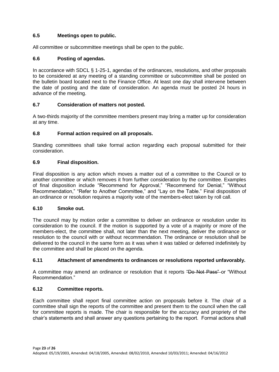#### **6.5 Meetings open to public.**

All committee or subcommittee meetings shall be open to the public.

#### **6.6 Posting of agendas.**

In accordance with SDCL § 1-25-1, agendas of the ordinances, resolutions, and other proposals to be considered at any meeting of a standing committee or subcommittee shall be posted on the bulletin board located next to the Finance Office. At least one day shall intervene between the date of posting and the date of consideration. An agenda must be posted 24 hours in advance of the meeting.

#### **6.7 Consideration of matters not posted.**

A two-thirds majority of the committee members present may bring a matter up for consideration at any time.

#### **6.8 Formal action required on all proposals.**

Standing committees shall take formal action regarding each proposal submitted for their consideration.

#### **6.9 Final disposition.**

Final disposition is any action which moves a matter out of a committee to the Council or to another committee or which removes it from further consideration by the committee. Examples of final disposition include "Recommend for Approval," "Recommend for Denial," "Without Recommendation," "Refer to Another Committee," and "Lay on the Table." Final disposition of an ordinance or resolution requires a majority vote of the members-elect taken by roll call.

#### **6.10 Smoke out.**

The council may by motion order a committee to deliver an ordinance or resolution under its consideration to the council. If the motion is supported by a vote of a majority or more of the members-elect, the committee shall, not later than the next meeting, deliver the ordinance or resolution to the council with or without recommendation. The ordinance or resolution shall be delivered to the council in the same form as it was when it was tabled or deferred indefinitely by the committee and shall be placed on the agenda.

#### **6.11 Attachment of amendments to ordinances or resolutions reported unfavorably.**

A committee may amend an ordinance or resolution that it reports "Do Not Pass" or "Without Recommendation."

#### **6.12 Committee reports.**

Each committee shall report final committee action on proposals before it. The chair of a committee shall sign the reports of the committee and present them to the council when the call for committee reports is made. The chair is responsible for the accuracy and propriety of the chair's statements and shall answer any questions pertaining to the report. Formal actions shall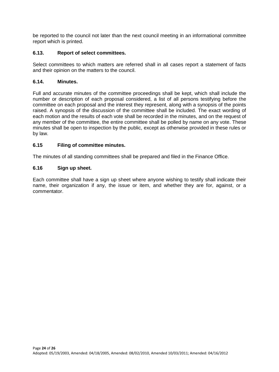be reported to the council not later than the next council meeting in an informational committee report which is printed.

#### **6.13. Report of select committees.**

Select committees to which matters are referred shall in all cases report a statement of facts and their opinion on the matters to the council.

#### **6.14. Minutes.**

Full and accurate minutes of the committee proceedings shall be kept, which shall include the number or description of each proposal considered, a list of all persons testifying before the committee on each proposal and the interest they represent, along with a synopsis of the points raised. A synopsis of the discussion of the committee shall be included. The exact wording of each motion and the results of each vote shall be recorded in the minutes, and on the request of any member of the committee, the entire committee shall be polled by name on any vote. These minutes shall be open to inspection by the public, except as otherwise provided in these rules or by law.

#### **6.15 Filing of committee minutes.**

The minutes of all standing committees shall be prepared and filed in the Finance Office.

#### **6.16 Sign up sheet.**

Each committee shall have a sign up sheet where anyone wishing to testify shall indicate their name, their organization if any, the issue or item, and whether they are for, against, or a commentator.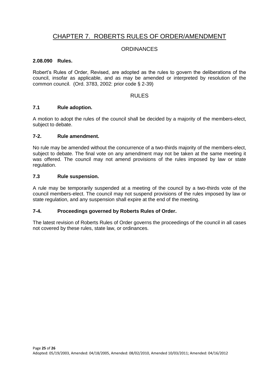# CHAPTER 7. ROBERTS RULES OF ORDER/AMENDMENT

#### **ORDINANCES**

#### **2.08.090 Rules.**

Robert's Rules of Order, Revised, are adopted as the rules to govern the deliberations of the council, insofar as applicable, and as may be amended or interpreted by resolution of the common council. (Ord. 3783, 2002: prior code § 2-39)

#### RULES

#### **7.1 Rule adoption.**

A motion to adopt the rules of the council shall be decided by a majority of the members-elect, subject to debate.

#### **7-2. Rule amendment.**

No rule may be amended without the concurrence of a two-thirds majority of the members-elect, subject to debate. The final vote on any amendment may not be taken at the same meeting it was offered. The council may not amend provisions of the rules imposed by law or state regulation.

#### **7.3 Rule suspension.**

A rule may be temporarily suspended at a meeting of the council by a two-thirds vote of the council members-elect. The council may not suspend provisions of the rules imposed by law or state regulation, and any suspension shall expire at the end of the meeting.

#### **7-4. Proceedings governed by Roberts Rules of Order.**

The latest revision of Roberts Rules of Order governs the proceedings of the council in all cases not covered by these rules, state law, or ordinances.